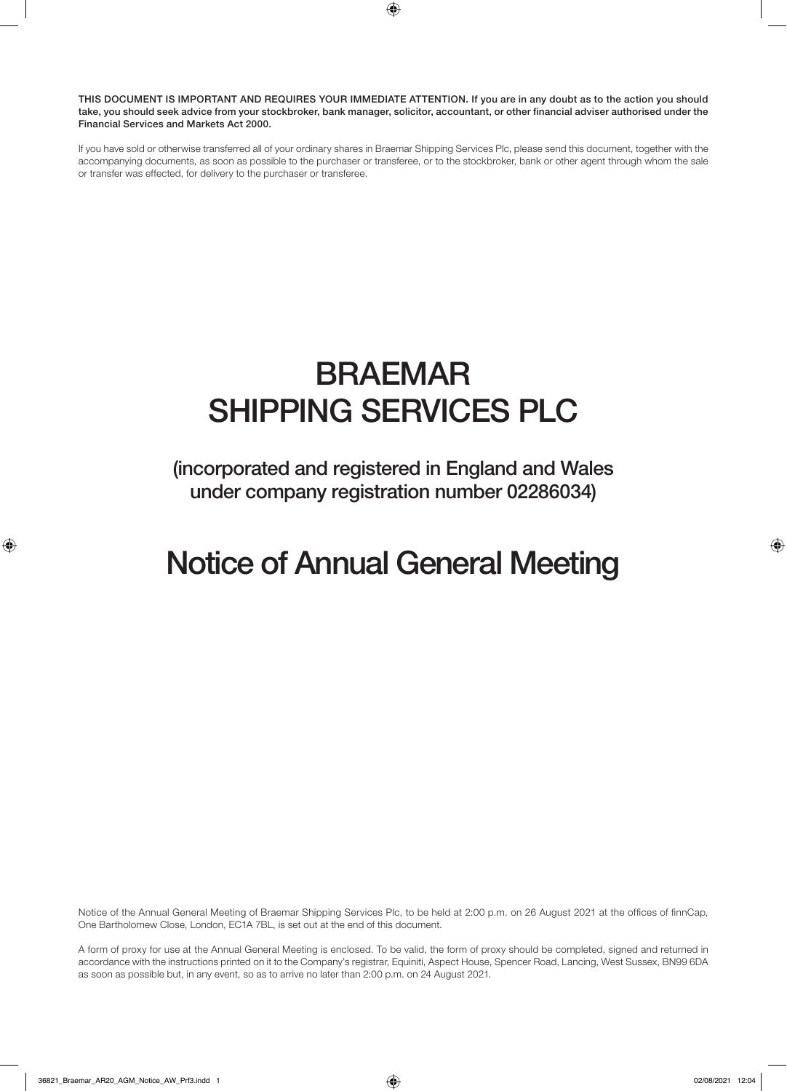THIS DOCUMENT IS IMPORTANT AND REQUIRES YOUR IMMEDIATE ATTENTION. If you are in any doubt as to the action you should take, you should seek advice from your stockbroker, bank manager, solicitor, accountant, or other financial adviser authorised under the Financial Services and Markets Act 2000.

If you have sold or otherwise transferred all of your ordinary shares in Braemar Shipping Services Plc, please send this document, together with the accompanying documents, as soon as possible to the purchaser or transferee, or to the stockbroker, bank or other agent through whom the sale or transfer was effected, for delivery to the purchaser or transferee.

# BRAEMAR SHIPPING SERVICES PLC

(incorporated and registered in England and Wales under company registration number 02286034)

# Notice of Annual General Meeting

Notice of the Annual General Meeting of Braemar Shipping Services Plc, to be held at 2:00 p.m. on 26 August 2021 at the offices of finnCap, One Bartholomew Close, London, EC1A 7BL, is set out at the end of this document.

A form of proxy for use at the Annual General Meeting is enclosed. To be valid, the form of proxy should be completed, signed and returned in accordance with the instructions printed on it to the Company's registrar, Equiniti, Aspect House, Spencer Road, Lancing, West Sussex, BN99 6DA as soon as possible but, in any event, so as to arrive no later than 2:00 p.m. on 24 August 2021.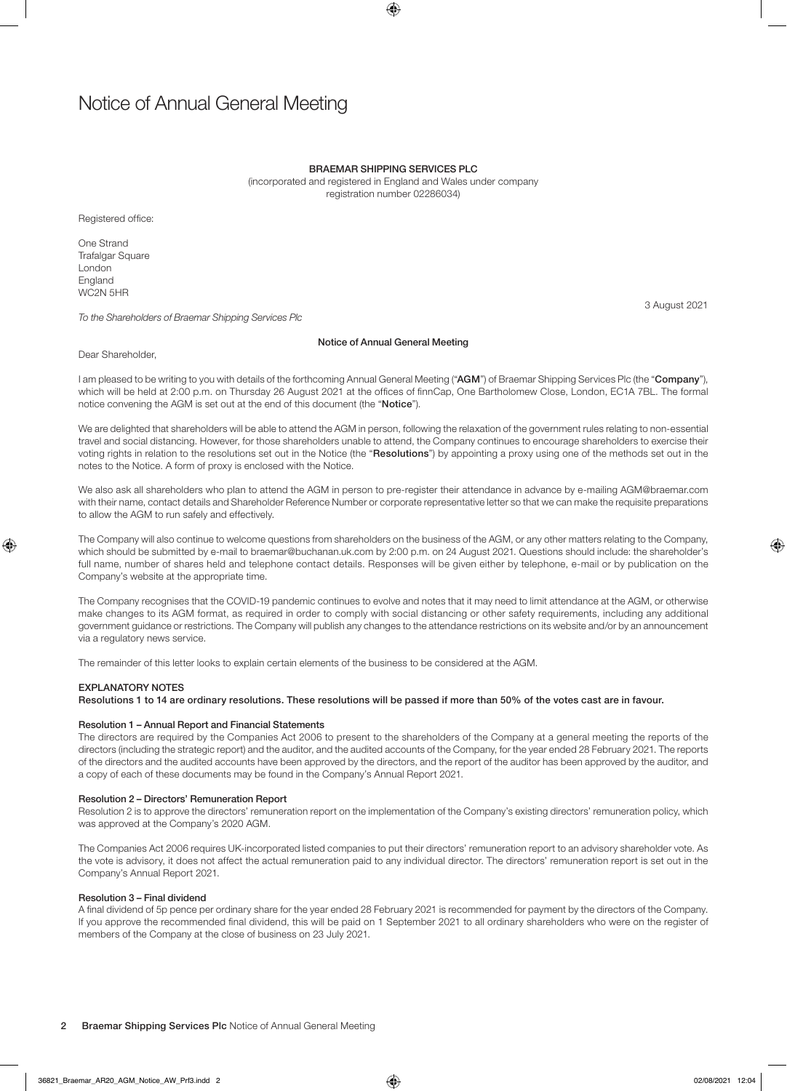### BRAEMAR SHIPPING SERVICES PLC

(incorporated and registered in England and Wales under company registration number 02286034)

Registered office:

One Strand Trafalgar Square London England WC2N 5HR

*To the Shareholders of Braemar Shipping Services Plc*

#### Notice of Annual General Meeting

Dear Shareholder,

I am pleased to be writing to you with details of the forthcoming Annual General Meeting ("AGM") of Braemar Shipping Services Plc (the "Company"), which will be held at 2:00 p.m. on Thursday 26 August 2021 at the offices of finnCap, One Bartholomew Close, London, EC1A 7BL. The formal notice convening the AGM is set out at the end of this document (the "Notice").

We are delighted that shareholders will be able to attend the AGM in person, following the relaxation of the government rules relating to non-essential travel and social distancing. However, for those shareholders unable to attend, the Company continues to encourage shareholders to exercise their voting rights in relation to the resolutions set out in the Notice (the "Resolutions") by appointing a proxy using one of the methods set out in the notes to the Notice. A form of proxy is enclosed with the Notice.

We also ask all shareholders who plan to attend the AGM in person to pre-register their attendance in advance by e-mailing AGM@braemar.com with their name, contact details and Shareholder Reference Number or corporate representative letter so that we can make the requisite preparations to allow the AGM to run safely and effectively.

The Company will also continue to welcome questions from shareholders on the business of the AGM, or any other matters relating to the Company, which should be submitted by e-mail to braemar@buchanan.uk.com by 2:00 p.m. on 24 August 2021. Questions should include: the shareholder's full name, number of shares held and telephone contact details. Responses will be given either by telephone, e-mail or by publication on the Company's website at the appropriate time.

The Company recognises that the COVID-19 pandemic continues to evolve and notes that it may need to limit attendance at the AGM, or otherwise make changes to its AGM format, as required in order to comply with social distancing or other safety requirements, including any additional government guidance or restrictions. The Company will publish any changes to the attendance restrictions on its website and/or by an announcement via a regulatory news service.

The remainder of this letter looks to explain certain elements of the business to be considered at the AGM.

#### **EXPLANATORY NOTES**

Resolutions 1 to 14 are ordinary resolutions. These resolutions will be passed if more than 50% of the votes cast are in favour.

#### Resolution 1 – Annual Report and Financial Statements

The directors are required by the Companies Act 2006 to present to the shareholders of the Company at a general meeting the reports of the directors (including the strategic report) and the auditor, and the audited accounts of the Company, for the year ended 28 February 2021. The reports of the directors and the audited accounts have been approved by the directors, and the report of the auditor has been approved by the auditor, and a copy of each of these documents may be found in the Company's Annual Report 2021.

#### Resolution 2 – Directors' Remuneration Report

Resolution 2 is to approve the directors' remuneration report on the implementation of the Company's existing directors' remuneration policy, which was approved at the Company's 2020 AGM.

The Companies Act 2006 requires UK-incorporated listed companies to put their directors' remuneration report to an advisory shareholder vote. As the vote is advisory, it does not affect the actual remuneration paid to any individual director. The directors' remuneration report is set out in the Company's Annual Report 2021.

#### Resolution 3 – Final dividend

A final dividend of 5p pence per ordinary share for the year ended 28 February 2021 is recommended for payment by the directors of the Company. If you approve the recommended final dividend, this will be paid on 1 September 2021 to all ordinary shareholders who were on the register of members of the Company at the close of business on 23 July 2021.

3 August 2021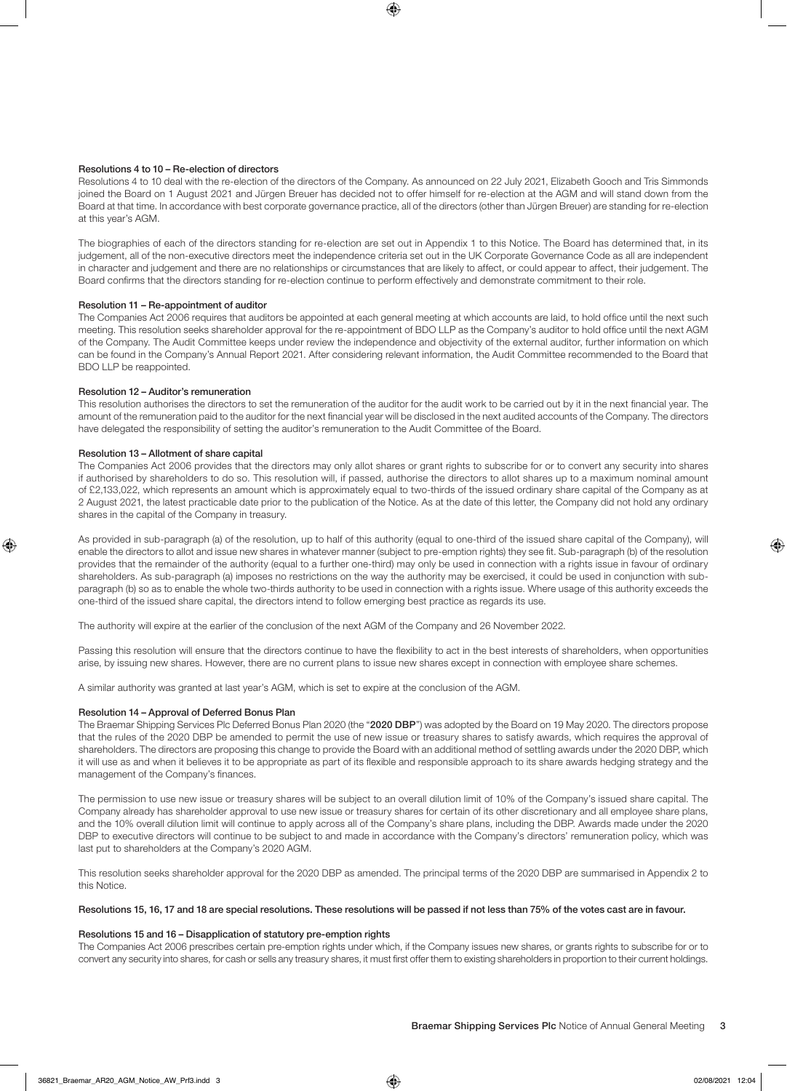#### Resolutions 4 to 10 – Re-election of directors

Resolutions 4 to 10 deal with the re-election of the directors of the Company. As announced on 22 July 2021, Elizabeth Gooch and Tris Simmonds joined the Board on 1 August 2021 and Jürgen Breuer has decided not to offer himself for re-election at the AGM and will stand down from the Board at that time. In accordance with best corporate governance practice, all of the directors (other than Jürgen Breuer) are standing for re-election at this year's AGM.

The biographies of each of the directors standing for re-election are set out in Appendix 1 to this Notice. The Board has determined that, in its judgement, all of the non-executive directors meet the independence criteria set out in the UK Corporate Governance Code as all are independent in character and judgement and there are no relationships or circumstances that are likely to affect, or could appear to affect, their judgement. The Board confirms that the directors standing for re-election continue to perform effectively and demonstrate commitment to their role.

#### Resolution 11 – Re-appointment of auditor

The Companies Act 2006 requires that auditors be appointed at each general meeting at which accounts are laid, to hold office until the next such meeting. This resolution seeks shareholder approval for the re-appointment of BDO LLP as the Company's auditor to hold office until the next AGM of the Company. The Audit Committee keeps under review the independence and objectivity of the external auditor, further information on which can be found in the Company's Annual Report 2021. After considering relevant information, the Audit Committee recommended to the Board that BDO LLP be reappointed.

#### Resolution 12 – Auditor's remuneration

This resolution authorises the directors to set the remuneration of the auditor for the audit work to be carried out by it in the next financial year. The amount of the remuneration paid to the auditor for the next financial year will be disclosed in the next audited accounts of the Company. The directors have delegated the responsibility of setting the auditor's remuneration to the Audit Committee of the Board.

### Resolution 13 – Allotment of share capital

The Companies Act 2006 provides that the directors may only allot shares or grant rights to subscribe for or to convert any security into shares if authorised by shareholders to do so. This resolution will, if passed, authorise the directors to allot shares up to a maximum nominal amount of £2,133,022, which represents an amount which is approximately equal to two-thirds of the issued ordinary share capital of the Company as at 2 August 2021, the latest practicable date prior to the publication of the Notice. As at the date of this letter, the Company did not hold any ordinary shares in the capital of the Company in treasury.

As provided in sub-paragraph (a) of the resolution, up to half of this authority (equal to one-third of the issued share capital of the Company), will enable the directors to allot and issue new shares in whatever manner (subject to pre-emption rights) they see fit. Sub-paragraph (b) of the resolution provides that the remainder of the authority (equal to a further one-third) may only be used in connection with a rights issue in favour of ordinary shareholders. As sub-paragraph (a) imposes no restrictions on the way the authority may be exercised, it could be used in conjunction with subparagraph (b) so as to enable the whole two-thirds authority to be used in connection with a rights issue. Where usage of this authority exceeds the one-third of the issued share capital, the directors intend to follow emerging best practice as regards its use.

The authority will expire at the earlier of the conclusion of the next AGM of the Company and 26 November 2022.

Passing this resolution will ensure that the directors continue to have the flexibility to act in the best interests of shareholders, when opportunities arise, by issuing new shares. However, there are no current plans to issue new shares except in connection with employee share schemes.

A similar authority was granted at last year's AGM, which is set to expire at the conclusion of the AGM.

#### Resolution 14 – Approval of Deferred Bonus Plan

The Braemar Shipping Services Plc Deferred Bonus Plan 2020 (the "2020 DBP") was adopted by the Board on 19 May 2020. The directors propose that the rules of the 2020 DBP be amended to permit the use of new issue or treasury shares to satisfy awards, which requires the approval of shareholders. The directors are proposing this change to provide the Board with an additional method of settling awards under the 2020 DBP, which it will use as and when it believes it to be appropriate as part of its flexible and responsible approach to its share awards hedging strategy and the management of the Company's finances.

The permission to use new issue or treasury shares will be subject to an overall dilution limit of 10% of the Company's issued share capital. The Company already has shareholder approval to use new issue or treasury shares for certain of its other discretionary and all employee share plans, and the 10% overall dilution limit will continue to apply across all of the Company's share plans, including the DBP. Awards made under the 2020 DBP to executive directors will continue to be subject to and made in accordance with the Company's directors' remuneration policy, which was last put to shareholders at the Company's 2020 AGM.

This resolution seeks shareholder approval for the 2020 DBP as amended. The principal terms of the 2020 DBP are summarised in Appendix 2 to this Notice.

#### Resolutions 15, 16, 17 and 18 are special resolutions. These resolutions will be passed if not less than 75% of the votes cast are in favour.

#### Resolutions 15 and 16 – Disapplication of statutory pre-emption rights

The Companies Act 2006 prescribes certain pre-emption rights under which, if the Company issues new shares, or grants rights to subscribe for or to convert any security into shares, for cash or sells any treasury shares, it must first offer them to existing shareholders in proportion to their current holdings.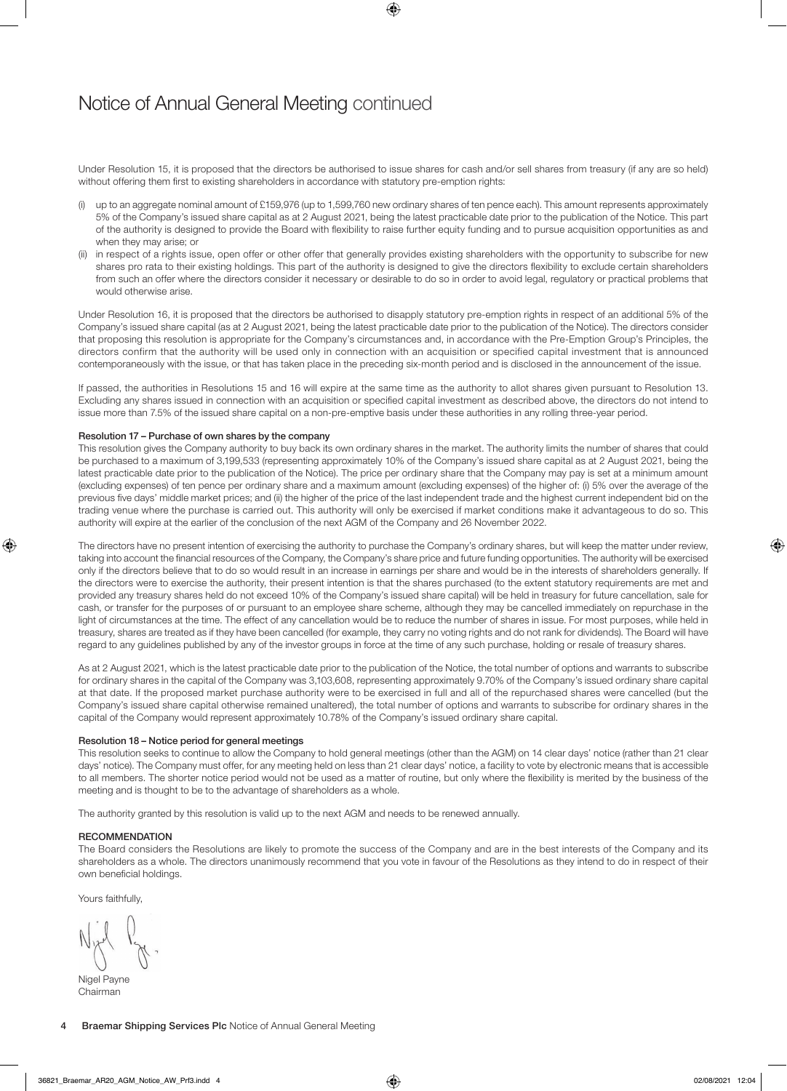### Notice of Annual General Meeting continued

Under Resolution 15, it is proposed that the directors be authorised to issue shares for cash and/or sell shares from treasury (if any are so held) without offering them first to existing shareholders in accordance with statutory pre-emption rights:

- (i) up to an aggregate nominal amount of £159,976 (up to 1,599,760 new ordinary shares of ten pence each). This amount represents approximately 5% of the Company's issued share capital as at 2 August 2021, being the latest practicable date prior to the publication of the Notice. This part of the authority is designed to provide the Board with flexibility to raise further equity funding and to pursue acquisition opportunities as and when they may arise; or
- (ii) in respect of a rights issue, open offer or other offer that generally provides existing shareholders with the opportunity to subscribe for new shares pro rata to their existing holdings. This part of the authority is designed to give the directors flexibility to exclude certain shareholders from such an offer where the directors consider it necessary or desirable to do so in order to avoid legal, regulatory or practical problems that would otherwise arise.

Under Resolution 16, it is proposed that the directors be authorised to disapply statutory pre-emption rights in respect of an additional 5% of the Company's issued share capital (as at 2 August 2021, being the latest practicable date prior to the publication of the Notice). The directors consider that proposing this resolution is appropriate for the Company's circumstances and, in accordance with the Pre-Emption Group's Principles, the directors confirm that the authority will be used only in connection with an acquisition or specified capital investment that is announced contemporaneously with the issue, or that has taken place in the preceding six-month period and is disclosed in the announcement of the issue.

If passed, the authorities in Resolutions 15 and 16 will expire at the same time as the authority to allot shares given pursuant to Resolution 13. Excluding any shares issued in connection with an acquisition or specified capital investment as described above, the directors do not intend to issue more than 7.5% of the issued share capital on a non-pre-emptive basis under these authorities in any rolling three-year period.

#### Resolution 17 – Purchase of own shares by the company

This resolution gives the Company authority to buy back its own ordinary shares in the market. The authority limits the number of shares that could be purchased to a maximum of 3,199,533 (representing approximately 10% of the Company's issued share capital as at 2 August 2021, being the latest practicable date prior to the publication of the Notice). The price per ordinary share that the Company may pay is set at a minimum amount (excluding expenses) of ten pence per ordinary share and a maximum amount (excluding expenses) of the higher of: (i) 5% over the average of the previous five days' middle market prices; and (ii) the higher of the price of the last independent trade and the highest current independent bid on the trading venue where the purchase is carried out. This authority will only be exercised if market conditions make it advantageous to do so. This authority will expire at the earlier of the conclusion of the next AGM of the Company and 26 November 2022.

The directors have no present intention of exercising the authority to purchase the Company's ordinary shares, but will keep the matter under review, taking into account the financial resources of the Company, the Company's share price and future funding opportunities. The authority will be exercised only if the directors believe that to do so would result in an increase in earnings per share and would be in the interests of shareholders generally. If the directors were to exercise the authority, their present intention is that the shares purchased (to the extent statutory requirements are met and provided any treasury shares held do not exceed 10% of the Company's issued share capital) will be held in treasury for future cancellation, sale for cash, or transfer for the purposes of or pursuant to an employee share scheme, although they may be cancelled immediately on repurchase in the light of circumstances at the time. The effect of any cancellation would be to reduce the number of shares in issue. For most purposes, while held in treasury, shares are treated as if they have been cancelled (for example, they carry no voting rights and do not rank for dividends). The Board will have regard to any guidelines published by any of the investor groups in force at the time of any such purchase, holding or resale of treasury shares.

As at 2 August 2021, which is the latest practicable date prior to the publication of the Notice, the total number of options and warrants to subscribe for ordinary shares in the capital of the Company was 3,103,608, representing approximately 9.70% of the Company's issued ordinary share capital at that date. If the proposed market purchase authority were to be exercised in full and all of the repurchased shares were cancelled (but the Company's issued share capital otherwise remained unaltered), the total number of options and warrants to subscribe for ordinary shares in the capital of the Company would represent approximately 10.78% of the Company's issued ordinary share capital.

#### Resolution 18 – Notice period for general meetings

This resolution seeks to continue to allow the Company to hold general meetings (other than the AGM) on 14 clear days' notice (rather than 21 clear days' notice). The Company must offer, for any meeting held on less than 21 clear days' notice, a facility to vote by electronic means that is accessible to all members. The shorter notice period would not be used as a matter of routine, but only where the flexibility is merited by the business of the meeting and is thought to be to the advantage of shareholders as a whole.

The authority granted by this resolution is valid up to the next AGM and needs to be renewed annually.

#### **RECOMMENDATION**

The Board considers the Resolutions are likely to promote the success of the Company and are in the best interests of the Company and its shareholders as a whole. The directors unanimously recommend that you vote in favour of the Resolutions as they intend to do in respect of their own beneficial holdings.

Yours faithfully,

Nigel Payne Chairman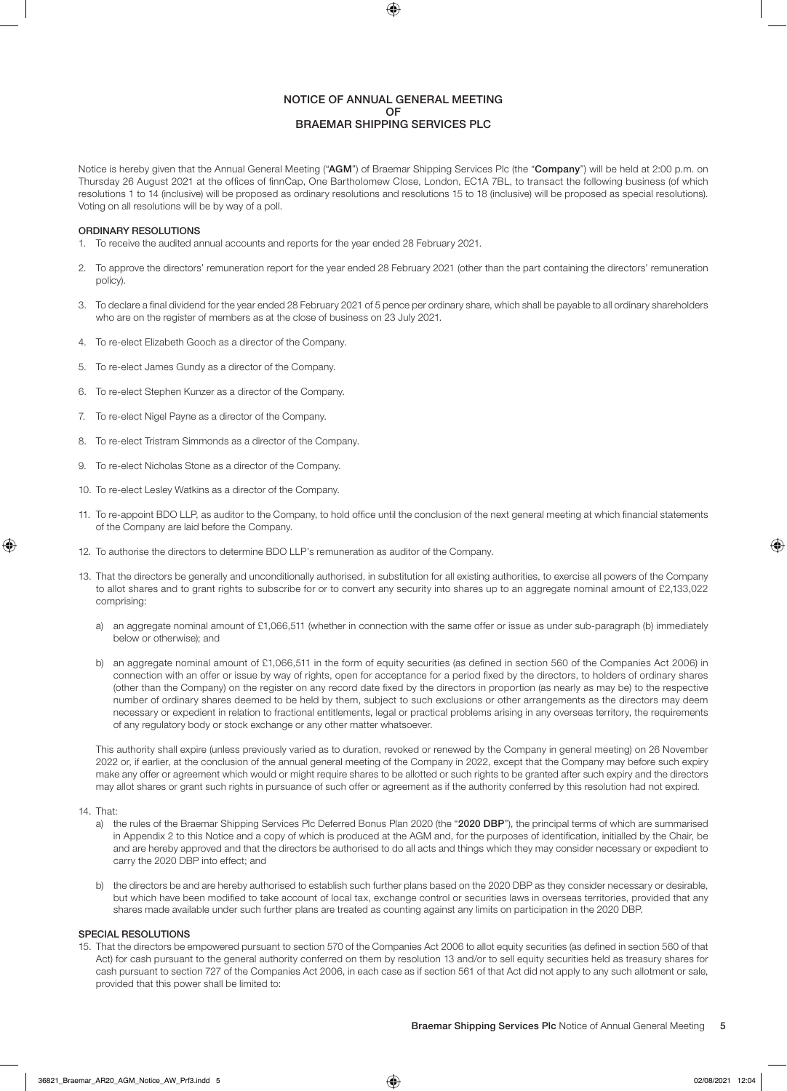#### NOTICE OF ANNUAL GENERAL MEETING OF BRAEMAR SHIPPING SERVICES PLC

Notice is hereby given that the Annual General Meeting ("AGM") of Braemar Shipping Services Plc (the "Company") will be held at 2:00 p.m. on Thursday 26 August 2021 at the offices of finnCap, One Bartholomew Close, London, EC1A 7BL, to transact the following business (of which resolutions 1 to 14 (inclusive) will be proposed as ordinary resolutions and resolutions 15 to 18 (inclusive) will be proposed as special resolutions). Voting on all resolutions will be by way of a poll.

#### ORDINARY RESOLUTIONS

- 1. To receive the audited annual accounts and reports for the year ended 28 February 2021.
- 2. To approve the directors' remuneration report for the year ended 28 February 2021 (other than the part containing the directors' remuneration policy).
- 3. To declare a final dividend for the year ended 28 February 2021 of 5 pence per ordinary share, which shall be payable to all ordinary shareholders who are on the register of members as at the close of business on 23 July 2021.
- 4. To re-elect Elizabeth Gooch as a director of the Company.
- 5. To re-elect James Gundy as a director of the Company.
- 6. To re-elect Stephen Kunzer as a director of the Company.
- 7. To re-elect Nigel Payne as a director of the Company.
- 8. To re-elect Tristram Simmonds as a director of the Company.
- 9. To re-elect Nicholas Stone as a director of the Company.
- 10. To re-elect Lesley Watkins as a director of the Company.
- 11. To re-appoint BDO LLP, as auditor to the Company, to hold office until the conclusion of the next general meeting at which financial statements of the Company are laid before the Company.
- 12. To authorise the directors to determine BDO LLP's remuneration as auditor of the Company.
- 13. That the directors be generally and unconditionally authorised, in substitution for all existing authorities, to exercise all powers of the Company to allot shares and to grant rights to subscribe for or to convert any security into shares up to an aggregate nominal amount of £2,133,022 comprising:
	- a) an aggregate nominal amount of £1,066,511 (whether in connection with the same offer or issue as under sub-paragraph (b) immediately below or otherwise); and
	- b) an aggregate nominal amount of £1,066,511 in the form of equity securities (as defined in section 560 of the Companies Act 2006) in connection with an offer or issue by way of rights, open for acceptance for a period fixed by the directors, to holders of ordinary shares (other than the Company) on the register on any record date fixed by the directors in proportion (as nearly as may be) to the respective number of ordinary shares deemed to be held by them, subject to such exclusions or other arrangements as the directors may deem necessary or expedient in relation to fractional entitlements, legal or practical problems arising in any overseas territory, the requirements of any regulatory body or stock exchange or any other matter whatsoever.

This authority shall expire (unless previously varied as to duration, revoked or renewed by the Company in general meeting) on 26 November 2022 or, if earlier, at the conclusion of the annual general meeting of the Company in 2022, except that the Company may before such expiry make any offer or agreement which would or might require shares to be allotted or such rights to be granted after such expiry and the directors may allot shares or grant such rights in pursuance of such offer or agreement as if the authority conferred by this resolution had not expired.

#### 14. That:

- a) the rules of the Braemar Shipping Services Plc Deferred Bonus Plan 2020 (the "2020 DBP"), the principal terms of which are summarised in Appendix 2 to this Notice and a copy of which is produced at the AGM and, for the purposes of identification, initialled by the Chair, be and are hereby approved and that the directors be authorised to do all acts and things which they may consider necessary or expedient to carry the 2020 DBP into effect; and
- b) the directors be and are hereby authorised to establish such further plans based on the 2020 DBP as they consider necessary or desirable, but which have been modified to take account of local tax, exchange control or securities laws in overseas territories, provided that any shares made available under such further plans are treated as counting against any limits on participation in the 2020 DBP.

#### SPECIAL RESOLUTIONS

15. That the directors be empowered pursuant to section 570 of the Companies Act 2006 to allot equity securities (as defined in section 560 of that Act) for cash pursuant to the general authority conferred on them by resolution 13 and/or to sell equity securities held as treasury shares for cash pursuant to section 727 of the Companies Act 2006, in each case as if section 561 of that Act did not apply to any such allotment or sale, provided that this power shall be limited to: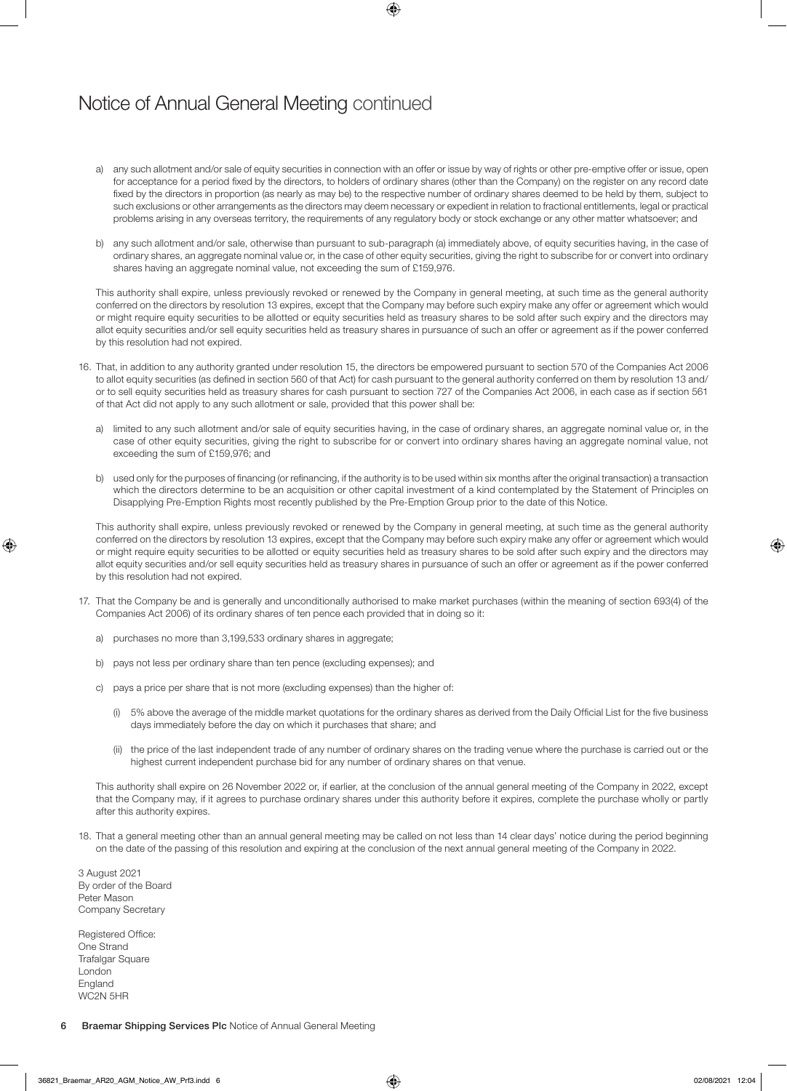### Notice of Annual General Meeting continued

- a) any such allotment and/or sale of equity securities in connection with an offer or issue by way of rights or other pre-emptive offer or issue, open for acceptance for a period fixed by the directors, to holders of ordinary shares (other than the Company) on the register on any record date fixed by the directors in proportion (as nearly as may be) to the respective number of ordinary shares deemed to be held by them, subject to such exclusions or other arrangements as the directors may deem necessary or expedient in relation to fractional entitlements, legal or practical problems arising in any overseas territory, the requirements of any regulatory body or stock exchange or any other matter whatsoever; and
- b) any such allotment and/or sale, otherwise than pursuant to sub-paragraph (a) immediately above, of equity securities having, in the case of ordinary shares, an aggregate nominal value or, in the case of other equity securities, giving the right to subscribe for or convert into ordinary shares having an aggregate nominal value, not exceeding the sum of £159,976.

This authority shall expire, unless previously revoked or renewed by the Company in general meeting, at such time as the general authority conferred on the directors by resolution 13 expires, except that the Company may before such expiry make any offer or agreement which would or might require equity securities to be allotted or equity securities held as treasury shares to be sold after such expiry and the directors may allot equity securities and/or sell equity securities held as treasury shares in pursuance of such an offer or agreement as if the power conferred by this resolution had not expired.

- 16. That, in addition to any authority granted under resolution 15, the directors be empowered pursuant to section 570 of the Companies Act 2006 to allot equity securities (as defined in section 560 of that Act) for cash pursuant to the general authority conferred on them by resolution 13 and/ or to sell equity securities held as treasury shares for cash pursuant to section 727 of the Companies Act 2006, in each case as if section 561 of that Act did not apply to any such allotment or sale, provided that this power shall be:
	- a) limited to any such allotment and/or sale of equity securities having, in the case of ordinary shares, an aggregate nominal value or, in the case of other equity securities, giving the right to subscribe for or convert into ordinary shares having an aggregate nominal value, not exceeding the sum of £159,976; and
	- b) used only for the purposes of financing (or refinancing, if the authority is to be used within six months after the original transaction) a transaction which the directors determine to be an acquisition or other capital investment of a kind contemplated by the Statement of Principles on Disapplying Pre-Emption Rights most recently published by the Pre-Emption Group prior to the date of this Notice.

This authority shall expire, unless previously revoked or renewed by the Company in general meeting, at such time as the general authority conferred on the directors by resolution 13 expires, except that the Company may before such expiry make any offer or agreement which would or might require equity securities to be allotted or equity securities held as treasury shares to be sold after such expiry and the directors may allot equity securities and/or sell equity securities held as treasury shares in pursuance of such an offer or agreement as if the power conferred by this resolution had not expired.

- 17. That the Company be and is generally and unconditionally authorised to make market purchases (within the meaning of section 693(4) of the Companies Act 2006) of its ordinary shares of ten pence each provided that in doing so it:
	- a) purchases no more than 3,199,533 ordinary shares in aggregate;
	- b) pays not less per ordinary share than ten pence (excluding expenses); and
	- c) pays a price per share that is not more (excluding expenses) than the higher of:
		- (i) 5% above the average of the middle market quotations for the ordinary shares as derived from the Daily Official List for the five business days immediately before the day on which it purchases that share; and
		- (ii) the price of the last independent trade of any number of ordinary shares on the trading venue where the purchase is carried out or the highest current independent purchase bid for any number of ordinary shares on that venue.

This authority shall expire on 26 November 2022 or, if earlier, at the conclusion of the annual general meeting of the Company in 2022, except that the Company may, if it agrees to purchase ordinary shares under this authority before it expires, complete the purchase wholly or partly after this authority expires.

18. That a general meeting other than an annual general meeting may be called on not less than 14 clear days' notice during the period beginning on the date of the passing of this resolution and expiring at the conclusion of the next annual general meeting of the Company in 2022.

3 August 2021 By order of the Board Peter Mason Company Secretary

Registered Office: One Strand Trafalgar Square London **England** WC2N 5HR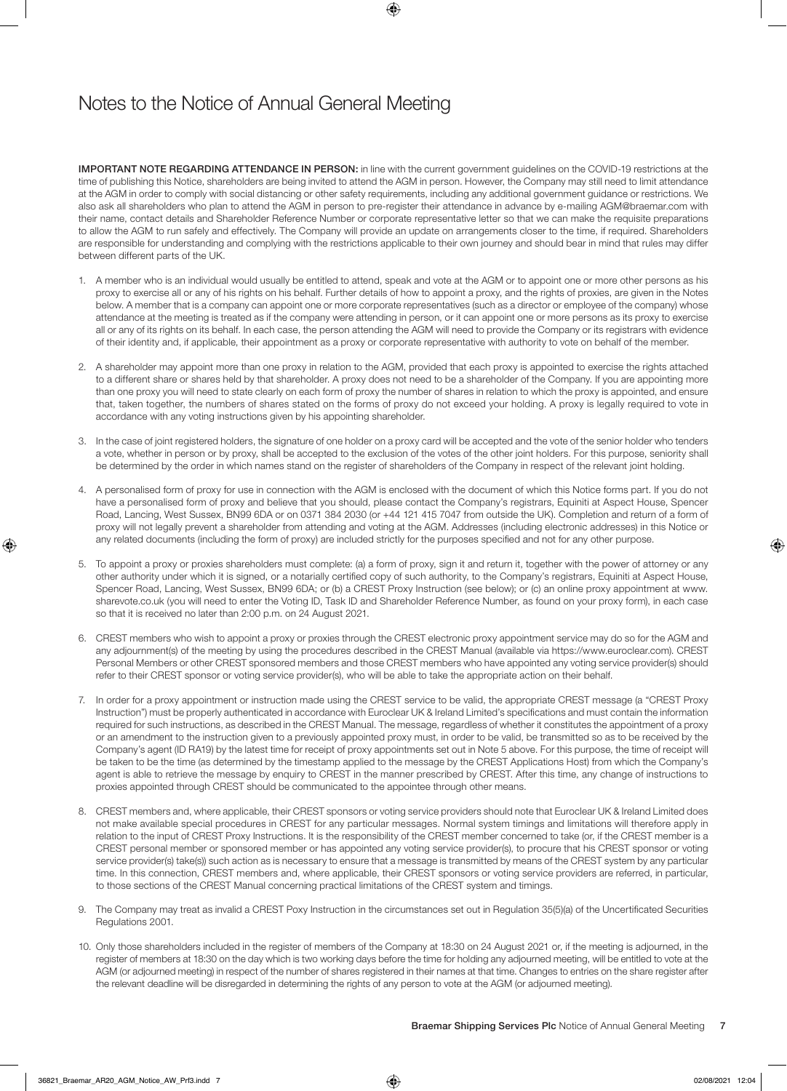## Notes to the Notice of Annual General Meeting

IMPORTANT NOTE REGARDING ATTENDANCE IN PERSON: in line with the current government guidelines on the COVID-19 restrictions at the time of publishing this Notice, shareholders are being invited to attend the AGM in person. However, the Company may still need to limit attendance at the AGM in order to comply with social distancing or other safety requirements, including any additional government guidance or restrictions. We also ask all shareholders who plan to attend the AGM in person to pre-register their attendance in advance by e-mailing AGM@braemar.com with their name, contact details and Shareholder Reference Number or corporate representative letter so that we can make the requisite preparations to allow the AGM to run safely and effectively. The Company will provide an update on arrangements closer to the time, if required. Shareholders are responsible for understanding and complying with the restrictions applicable to their own journey and should bear in mind that rules may differ between different parts of the UK.

- 1. A member who is an individual would usually be entitled to attend, speak and vote at the AGM or to appoint one or more other persons as his proxy to exercise all or any of his rights on his behalf. Further details of how to appoint a proxy, and the rights of proxies, are given in the Notes below. A member that is a company can appoint one or more corporate representatives (such as a director or employee of the company) whose attendance at the meeting is treated as if the company were attending in person, or it can appoint one or more persons as its proxy to exercise all or any of its rights on its behalf. In each case, the person attending the AGM will need to provide the Company or its registrars with evidence of their identity and, if applicable, their appointment as a proxy or corporate representative with authority to vote on behalf of the member.
- 2. A shareholder may appoint more than one proxy in relation to the AGM, provided that each proxy is appointed to exercise the rights attached to a different share or shares held by that shareholder. A proxy does not need to be a shareholder of the Company. If you are appointing more than one proxy you will need to state clearly on each form of proxy the number of shares in relation to which the proxy is appointed, and ensure that, taken together, the numbers of shares stated on the forms of proxy do not exceed your holding. A proxy is legally required to vote in accordance with any voting instructions given by his appointing shareholder.
- 3. In the case of joint registered holders, the signature of one holder on a proxy card will be accepted and the vote of the senior holder who tenders a vote, whether in person or by proxy, shall be accepted to the exclusion of the votes of the other joint holders. For this purpose, seniority shall be determined by the order in which names stand on the register of shareholders of the Company in respect of the relevant joint holding.
- 4. A personalised form of proxy for use in connection with the AGM is enclosed with the document of which this Notice forms part. If you do not have a personalised form of proxy and believe that you should, please contact the Company's registrars, Equiniti at Aspect House, Spencer Road, Lancing, West Sussex, BN99 6DA or on 0371 384 2030 (or +44 121 415 7047 from outside the UK). Completion and return of a form of proxy will not legally prevent a shareholder from attending and voting at the AGM. Addresses (including electronic addresses) in this Notice or any related documents (including the form of proxy) are included strictly for the purposes specified and not for any other purpose.
- 5. To appoint a proxy or proxies shareholders must complete: (a) a form of proxy, sign it and return it, together with the power of attorney or any other authority under which it is signed, or a notarially certified copy of such authority, to the Company's registrars, Equiniti at Aspect House, Spencer Road, Lancing, West Sussex, BN99 6DA; or (b) a CREST Proxy Instruction (see below); or (c) an online proxy appointment at www. sharevote.co.uk (you will need to enter the Voting ID, Task ID and Shareholder Reference Number, as found on your proxy form), in each case so that it is received no later than 2:00 p.m. on 24 August 2021.
- 6. CREST members who wish to appoint a proxy or proxies through the CREST electronic proxy appointment service may do so for the AGM and any adjournment(s) of the meeting by using the procedures described in the CREST Manual (available via https://www.euroclear.com). CREST Personal Members or other CREST sponsored members and those CREST members who have appointed any voting service provider(s) should refer to their CREST sponsor or voting service provider(s), who will be able to take the appropriate action on their behalf.
- 7. In order for a proxy appointment or instruction made using the CREST service to be valid, the appropriate CREST message (a "CREST Proxy Instruction") must be properly authenticated in accordance with Euroclear UK & Ireland Limited's specifications and must contain the information required for such instructions, as described in the CREST Manual. The message, regardless of whether it constitutes the appointment of a proxy or an amendment to the instruction given to a previously appointed proxy must, in order to be valid, be transmitted so as to be received by the Company's agent (ID RA19) by the latest time for receipt of proxy appointments set out in Note 5 above. For this purpose, the time of receipt will be taken to be the time (as determined by the timestamp applied to the message by the CREST Applications Host) from which the Company's agent is able to retrieve the message by enquiry to CREST in the manner prescribed by CREST. After this time, any change of instructions to proxies appointed through CREST should be communicated to the appointee through other means.
- 8. CREST members and, where applicable, their CREST sponsors or voting service providers should note that Euroclear UK & Ireland Limited does not make available special procedures in CREST for any particular messages. Normal system timings and limitations will therefore apply in relation to the input of CREST Proxy Instructions. It is the responsibility of the CREST member concerned to take (or, if the CREST member is a CREST personal member or sponsored member or has appointed any voting service provider(s), to procure that his CREST sponsor or voting service provider(s) take(s)) such action as is necessary to ensure that a message is transmitted by means of the CREST system by any particular time. In this connection, CREST members and, where applicable, their CREST sponsors or voting service providers are referred, in particular, to those sections of the CREST Manual concerning practical limitations of the CREST system and timings.
- 9. The Company may treat as invalid a CREST Poxy Instruction in the circumstances set out in Regulation 35(5)(a) of the Uncertificated Securities Regulations 2001.
- 10. Only those shareholders included in the register of members of the Company at 18:30 on 24 August 2021 or, if the meeting is adjourned, in the register of members at 18:30 on the day which is two working days before the time for holding any adjourned meeting, will be entitled to vote at the AGM (or adjourned meeting) in respect of the number of shares registered in their names at that time. Changes to entries on the share register after the relevant deadline will be disregarded in determining the rights of any person to vote at the AGM (or adjourned meeting).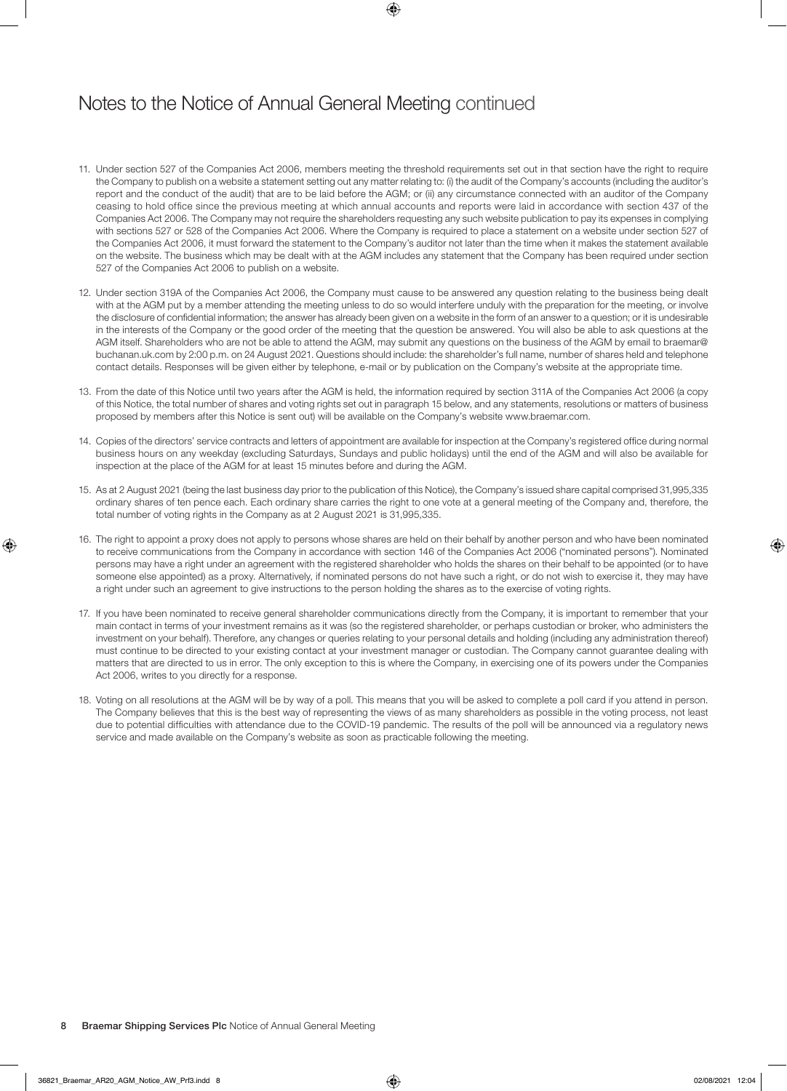# Notes to the Notice of Annual General Meeting continued

- 11. Under section 527 of the Companies Act 2006, members meeting the threshold requirements set out in that section have the right to require the Company to publish on a website a statement setting out any matter relating to: (i) the audit of the Company's accounts (including the auditor's report and the conduct of the audit) that are to be laid before the AGM; or (ii) any circumstance connected with an auditor of the Company ceasing to hold office since the previous meeting at which annual accounts and reports were laid in accordance with section 437 of the Companies Act 2006. The Company may not require the shareholders requesting any such website publication to pay its expenses in complying with sections 527 or 528 of the Companies Act 2006. Where the Company is required to place a statement on a website under section 527 of the Companies Act 2006, it must forward the statement to the Company's auditor not later than the time when it makes the statement available on the website. The business which may be dealt with at the AGM includes any statement that the Company has been required under section 527 of the Companies Act 2006 to publish on a website.
- 12. Under section 319A of the Companies Act 2006, the Company must cause to be answered any question relating to the business being dealt with at the AGM put by a member attending the meeting unless to do so would interfere unduly with the preparation for the meeting, or involve the disclosure of confidential information; the answer has already been given on a website in the form of an answer to a question; or it is undesirable in the interests of the Company or the good order of the meeting that the question be answered. You will also be able to ask questions at the AGM itself. Shareholders who are not be able to attend the AGM, may submit any questions on the business of the AGM by email to braemar@ buchanan.uk.com by 2:00 p.m. on 24 August 2021. Questions should include: the shareholder's full name, number of shares held and telephone contact details. Responses will be given either by telephone, e-mail or by publication on the Company's website at the appropriate time.
- 13. From the date of this Notice until two years after the AGM is held, the information required by section 311A of the Companies Act 2006 (a copy of this Notice, the total number of shares and voting rights set out in paragraph 15 below, and any statements, resolutions or matters of business proposed by members after this Notice is sent out) will be available on the Company's website www.braemar.com.
- 14. Copies of the directors' service contracts and letters of appointment are available for inspection at the Company's registered office during normal business hours on any weekday (excluding Saturdays, Sundays and public holidays) until the end of the AGM and will also be available for inspection at the place of the AGM for at least 15 minutes before and during the AGM.
- 15. As at 2 August 2021 (being the last business day prior to the publication of this Notice), the Company's issued share capital comprised 31,995,335 ordinary shares of ten pence each. Each ordinary share carries the right to one vote at a general meeting of the Company and, therefore, the total number of voting rights in the Company as at 2 August 2021 is 31,995,335.
- 16. The right to appoint a proxy does not apply to persons whose shares are held on their behalf by another person and who have been nominated to receive communications from the Company in accordance with section 146 of the Companies Act 2006 ("nominated persons"). Nominated persons may have a right under an agreement with the registered shareholder who holds the shares on their behalf to be appointed (or to have someone else appointed) as a proxy. Alternatively, if nominated persons do not have such a right, or do not wish to exercise it, they may have a right under such an agreement to give instructions to the person holding the shares as to the exercise of voting rights.
- 17. If you have been nominated to receive general shareholder communications directly from the Company, it is important to remember that your main contact in terms of your investment remains as it was (so the registered shareholder, or perhaps custodian or broker, who administers the investment on your behalf). Therefore, any changes or queries relating to your personal details and holding (including any administration thereof) must continue to be directed to your existing contact at your investment manager or custodian. The Company cannot guarantee dealing with matters that are directed to us in error. The only exception to this is where the Company, in exercising one of its powers under the Companies Act 2006, writes to you directly for a response.
- 18. Voting on all resolutions at the AGM will be by way of a poll. This means that you will be asked to complete a poll card if you attend in person. The Company believes that this is the best way of representing the views of as many shareholders as possible in the voting process, not least due to potential difficulties with attendance due to the COVID-19 pandemic. The results of the poll will be announced via a regulatory news service and made available on the Company's website as soon as practicable following the meeting.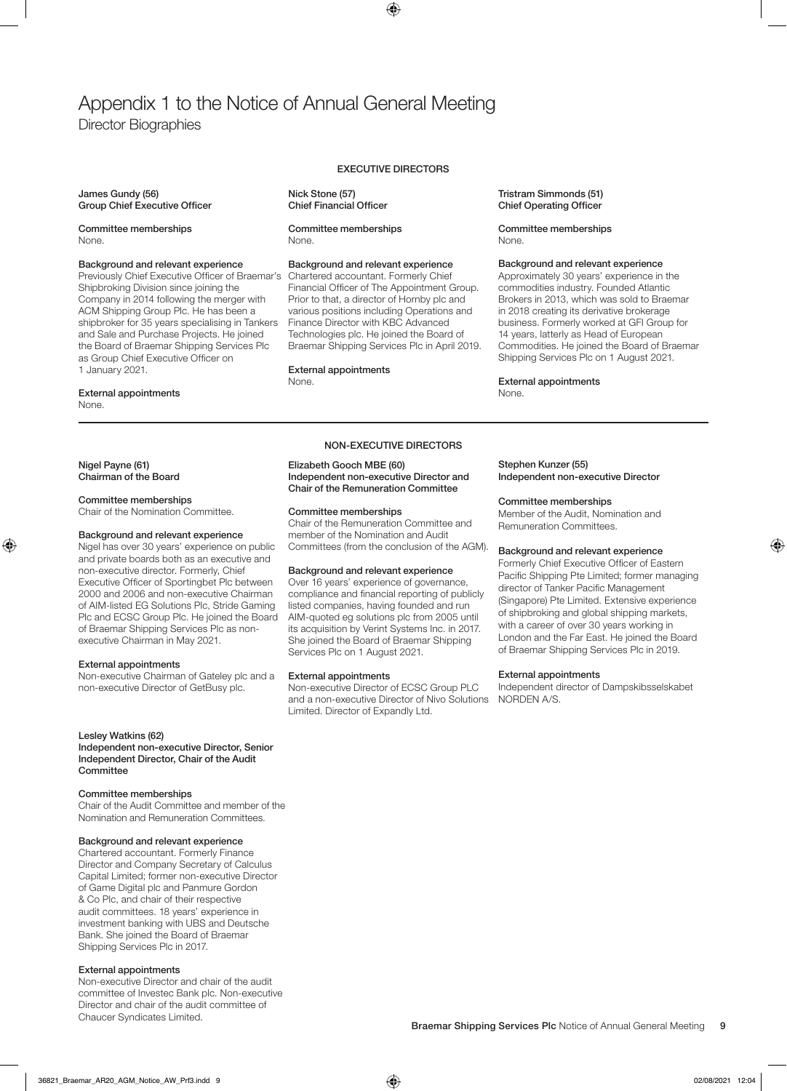# Appendix 1 to the Notice of Annual General Meeting Director Biographies

James Gundy (56) Group Chief Executive Officer

Committee memberships None.

#### Background and relevant experience

Previously Chief Executive Officer of Braemar's Shipbroking Division since joining the Company in 2014 following the merger with ACM Shipping Group Plc. He has been a shipbroker for 35 years specialising in Tankers and Sale and Purchase Projects. He joined the Board of Braemar Shipping Services Plc as Group Chief Executive Officer on 1 January 2021.

#### External appointments

None.

Nigel Payne (61) Chairman of the Board

#### Committee memberships

Chair of the Nomination Committee.

#### Background and relevant experience

Nigel has over 30 years' experience on public and private boards both as an executive and non-executive director. Formerly, Chief Executive Officer of Sportingbet Plc between 2000 and 2006 and non-executive Chairman of AIM-listed EG Solutions Plc, Stride Gaming Plc and ECSC Group Plc. He joined the Board of Braemar Shipping Services Plc as nonexecutive Chairman in May 2021.

#### External appointments

Non-executive Chairman of Gateley plc and a non-executive Director of GetBusy plc.

#### Lesley Watkins (62)

Independent non-executive Director, Senior Independent Director, Chair of the Audit **Committee** 

#### Committee memberships

Chair of the Audit Committee and member of the Nomination and Remuneration Committees.

#### Background and relevant experience

Chartered accountant. Formerly Finance Director and Company Secretary of Calculus Capital Limited; former non-executive Director of Game Digital plc and Panmure Gordon & Co Plc, and chair of their respective audit committees. 18 years' experience in investment banking with UBS and Deutsche Bank. She joined the Board of Braemar Shipping Services Plc in 2017.

#### External appointments

Non-executive Director and chair of the audit committee of Investec Bank plc. Non-executive Director and chair of the audit committee of Chaucer Syndicates Limited.

### EXECUTIVE DIRECTORS

Nick Stone (57) Chief Financial Officer

Committee memberships None.

#### Background and relevant experience

Chartered accountant. Formerly Chief Financial Officer of The Appointment Group. Prior to that, a director of Hornby plc and various positions including Operations and Finance Director with KBC Advanced Technologies plc. He joined the Board of Braemar Shipping Services Plc in April 2019.

#### External appointments

None.

#### NON-EXECUTIVE DIRECTORS

#### Elizabeth Gooch MBE (60) Independent non-executive Director and Chair of the Remuneration Committee

#### Committee memberships

Chair of the Remuneration Committee and member of the Nomination and Audit Committees (from the conclusion of the AGM).

#### Background and relevant experience

Over 16 years' experience of governance, compliance and financial reporting of publicly listed companies, having founded and run AIM-quoted eg solutions plc from 2005 until its acquisition by Verint Systems Inc. in 2017. She joined the Board of Braemar Shipping Services Plc on 1 August 2021.

#### External appointments

Non-executive Director of ECSC Group PLC and a non-executive Director of Nivo Solutions Limited. Director of Expandly Ltd.

#### Tristram Simmonds (51) Chief Operating Officer

#### Committee memberships None.

#### Background and relevant experience

Approximately 30 years' experience in the commodities industry. Founded Atlantic Brokers in 2013, which was sold to Braemar in 2018 creating its derivative brokerage business. Formerly worked at GFI Group for 14 years, latterly as Head of European Commodities. He joined the Board of Braemar Shipping Services Plc on 1 August 2021.

### Stephen Kunzer (55)

External appointments

None.

Independent non-executive Director

#### Committee memberships

Member of the Audit, Nomination and Remuneration Committees.

#### Background and relevant experience

Formerly Chief Executive Officer of Eastern Pacific Shipping Pte Limited; former managing director of Tanker Pacific Management (Singapore) Pte Limited. Extensive experience of shipbroking and global shipping markets, with a career of over 30 years working in London and the Far East. He joined the Board of Braemar Shipping Services Plc in 2019.

### External appointments

Independent director of Dampskibsselskabet NORDEN A/S.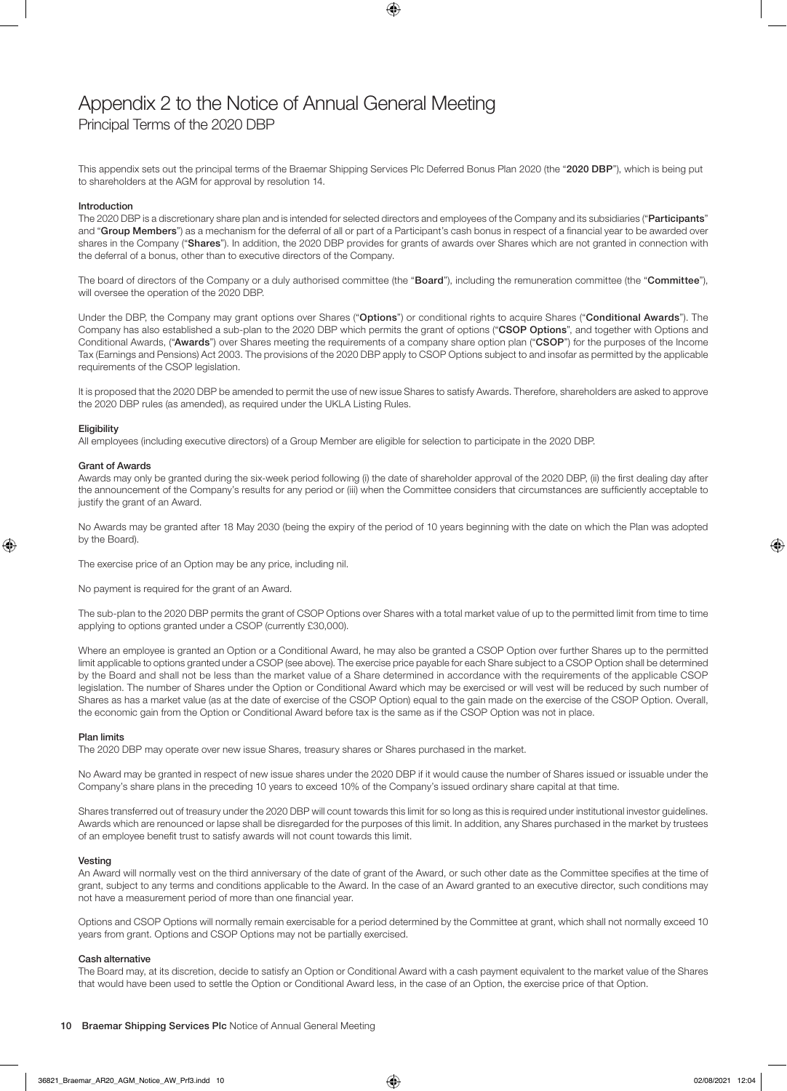## Appendix 2 to the Notice of Annual General Meeting Principal Terms of the 2020 DBP

This appendix sets out the principal terms of the Braemar Shipping Services Plc Deferred Bonus Plan 2020 (the "2020 DBP"), which is being put to shareholders at the AGM for approval by resolution 14.

#### Introduction

The 2020 DBP is a discretionary share plan and is intended for selected directors and employees of the Company and its subsidiaries ("Participants" and "Group Members") as a mechanism for the deferral of all or part of a Participant's cash bonus in respect of a financial year to be awarded over shares in the Company ("Shares"). In addition, the 2020 DBP provides for grants of awards over Shares which are not granted in connection with the deferral of a bonus, other than to executive directors of the Company.

The board of directors of the Company or a duly authorised committee (the "Board"), including the remuneration committee (the "Committee"), will oversee the operation of the 2020 DBP.

Under the DBP, the Company may grant options over Shares ("Options") or conditional rights to acquire Shares ("Conditional Awards"). The Company has also established a sub-plan to the 2020 DBP which permits the grant of options ("CSOP Options", and together with Options and Conditional Awards, ("Awards") over Shares meeting the requirements of a company share option plan ("CSOP") for the purposes of the Income Tax (Earnings and Pensions) Act 2003. The provisions of the 2020 DBP apply to CSOP Options subject to and insofar as permitted by the applicable requirements of the CSOP legislation.

It is proposed that the 2020 DBP be amended to permit the use of new issue Shares to satisfy Awards. Therefore, shareholders are asked to approve the 2020 DBP rules (as amended), as required under the UKLA Listing Rules.

#### **Eligibility**

All employees (including executive directors) of a Group Member are eligible for selection to participate in the 2020 DBP.

#### Grant of Awards

Awards may only be granted during the six-week period following (i) the date of shareholder approval of the 2020 DBP, (ii) the first dealing day after the announcement of the Company's results for any period or (iii) when the Committee considers that circumstances are sufficiently acceptable to justify the grant of an Award.

No Awards may be granted after 18 May 2030 (being the expiry of the period of 10 years beginning with the date on which the Plan was adopted by the Board).

The exercise price of an Option may be any price, including nil.

No payment is required for the grant of an Award.

The sub-plan to the 2020 DBP permits the grant of CSOP Options over Shares with a total market value of up to the permitted limit from time to time applying to options granted under a CSOP (currently £30,000).

Where an employee is granted an Option or a Conditional Award, he may also be granted a CSOP Option over further Shares up to the permitted limit applicable to options granted under a CSOP (see above). The exercise price payable for each Share subject to a CSOP Option shall be determined by the Board and shall not be less than the market value of a Share determined in accordance with the requirements of the applicable CSOP legislation. The number of Shares under the Option or Conditional Award which may be exercised or will vest will be reduced by such number of Shares as has a market value (as at the date of exercise of the CSOP Option) equal to the gain made on the exercise of the CSOP Option. Overall, the economic gain from the Option or Conditional Award before tax is the same as if the CSOP Option was not in place.

#### Plan limits

The 2020 DBP may operate over new issue Shares, treasury shares or Shares purchased in the market.

No Award may be granted in respect of new issue shares under the 2020 DBP if it would cause the number of Shares issued or issuable under the Company's share plans in the preceding 10 years to exceed 10% of the Company's issued ordinary share capital at that time.

Shares transferred out of treasury under the 2020 DBP will count towards this limit for so long as this is required under institutional investor guidelines. Awards which are renounced or lapse shall be disregarded for the purposes of this limit. In addition, any Shares purchased in the market by trustees of an employee benefit trust to satisfy awards will not count towards this limit.

#### Vesting

An Award will normally vest on the third anniversary of the date of grant of the Award, or such other date as the Committee specifies at the time of grant, subject to any terms and conditions applicable to the Award. In the case of an Award granted to an executive director, such conditions may not have a measurement period of more than one financial year.

Options and CSOP Options will normally remain exercisable for a period determined by the Committee at grant, which shall not normally exceed 10 years from grant. Options and CSOP Options may not be partially exercised.

#### Cash alternative

The Board may, at its discretion, decide to satisfy an Option or Conditional Award with a cash payment equivalent to the market value of the Shares that would have been used to settle the Option or Conditional Award less, in the case of an Option, the exercise price of that Option.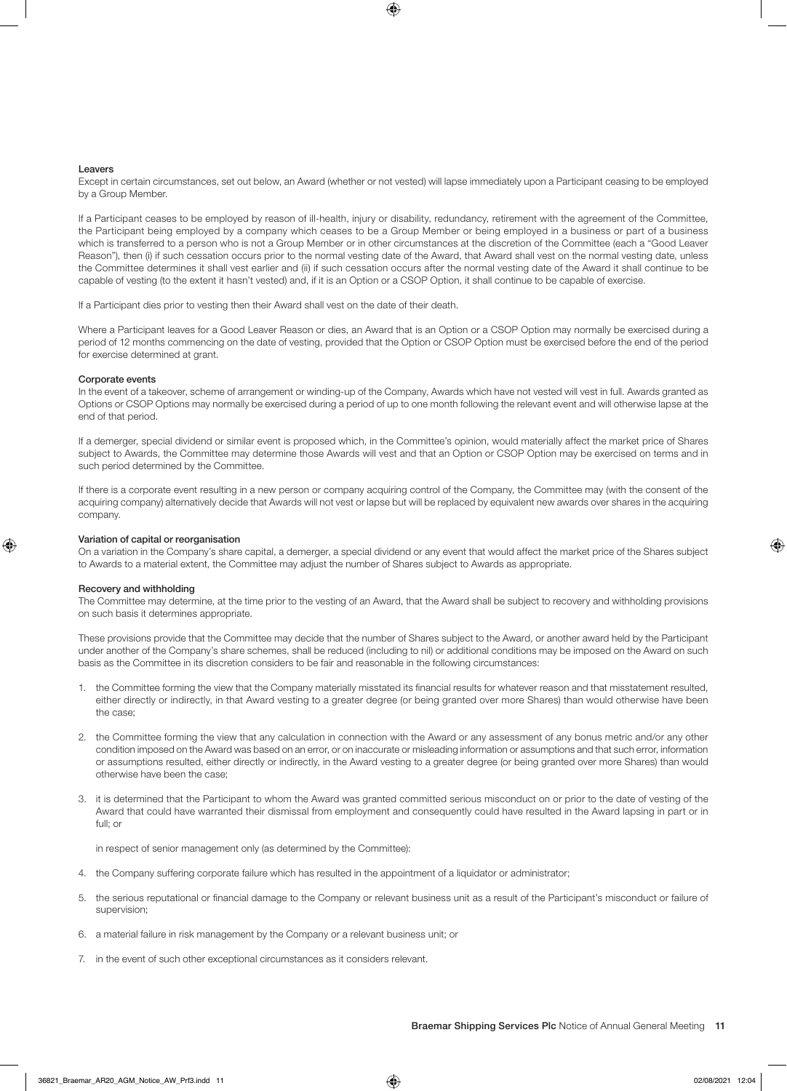#### **Leavers**

Except in certain circumstances, set out below, an Award (whether or not vested) will lapse immediately upon a Participant ceasing to be employed by a Group Member.

If a Participant ceases to be employed by reason of ill-health, injury or disability, redundancy, retirement with the agreement of the Committee, the Participant being employed by a company which ceases to be a Group Member or being employed in a business or part of a business which is transferred to a person who is not a Group Member or in other circumstances at the discretion of the Committee (each a "Good Leaver Reason"), then (i) if such cessation occurs prior to the normal vesting date of the Award, that Award shall vest on the normal vesting date, unless the Committee determines it shall vest earlier and (ii) if such cessation occurs after the normal vesting date of the Award it shall continue to be capable of vesting (to the extent it hasn't vested) and, if it is an Option or a CSOP Option, it shall continue to be capable of exercise.

If a Participant dies prior to vesting then their Award shall vest on the date of their death.

Where a Participant leaves for a Good Leaver Reason or dies, an Award that is an Option or a CSOP Option may normally be exercised during a period of 12 months commencing on the date of vesting, provided that the Option or CSOP Option must be exercised before the end of the period for exercise determined at grant.

#### Corporate events

In the event of a takeover, scheme of arrangement or winding-up of the Company, Awards which have not vested will vest in full. Awards granted as Options or CSOP Options may normally be exercised during a period of up to one month following the relevant event and will otherwise lapse at the end of that period.

If a demerger, special dividend or similar event is proposed which, in the Committee's opinion, would materially affect the market price of Shares subject to Awards, the Committee may determine those Awards will vest and that an Option or CSOP Option may be exercised on terms and in such period determined by the Committee.

If there is a corporate event resulting in a new person or company acquiring control of the Company, the Committee may (with the consent of the acquiring company) alternatively decide that Awards will not vest or lapse but will be replaced by equivalent new awards over shares in the acquiring company.

#### Variation of capital or reorganisation

On a variation in the Company's share capital, a demerger, a special dividend or any event that would affect the market price of the Shares subject to Awards to a material extent, the Committee may adjust the number of Shares subject to Awards as appropriate.

#### Recovery and withholding

The Committee may determine, at the time prior to the vesting of an Award, that the Award shall be subject to recovery and withholding provisions on such basis it determines appropriate.

These provisions provide that the Committee may decide that the number of Shares subject to the Award, or another award held by the Participant under another of the Company's share schemes, shall be reduced (including to nil) or additional conditions may be imposed on the Award on such basis as the Committee in its discretion considers to be fair and reasonable in the following circumstances:

- 1. the Committee forming the view that the Company materially misstated its financial results for whatever reason and that misstatement resulted, either directly or indirectly, in that Award vesting to a greater degree (or being granted over more Shares) than would otherwise have been the case;
- 2. the Committee forming the view that any calculation in connection with the Award or any assessment of any bonus metric and/or any other condition imposed on the Award was based on an error, or on inaccurate or misleading information or assumptions and that such error, information or assumptions resulted, either directly or indirectly, in the Award vesting to a greater degree (or being granted over more Shares) than would otherwise have been the case;
- 3. it is determined that the Participant to whom the Award was granted committed serious misconduct on or prior to the date of vesting of the Award that could have warranted their dismissal from employment and consequently could have resulted in the Award lapsing in part or in full; or

in respect of senior management only (as determined by the Committee):

- 4. the Company suffering corporate failure which has resulted in the appointment of a liquidator or administrator;
- 5. the serious reputational or financial damage to the Company or relevant business unit as a result of the Participant's misconduct or failure of supervision;
- 6. a material failure in risk management by the Company or a relevant business unit; or
- 7. in the event of such other exceptional circumstances as it considers relevant.